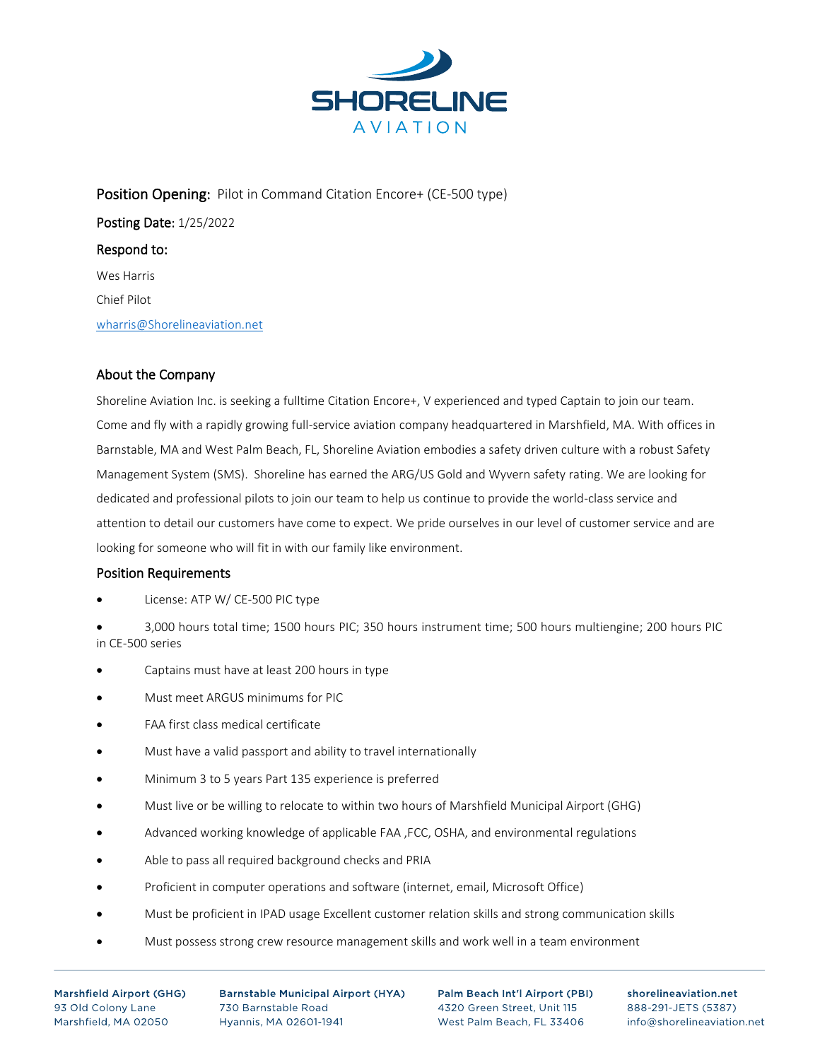

Position Opening: Pilot in Command Citation Encore+ (CE-500 type) Posting Date: 1/25/2022 Respond to: Wes Harris Chief Pilot [wharris@Shorelineaviation.net](mailto:wharris@Shorelineaviation.net)

## About the Company

Shoreline Aviation Inc. is seeking a fulltime Citation Encore+, V experienced and typed Captain to join our team. Come and fly with a rapidly growing full-service aviation company headquartered in Marshfield, MA. With offices in Barnstable, MA and West Palm Beach, FL, Shoreline Aviation embodies a safety driven culture with a robust Safety Management System (SMS). Shoreline has earned the ARG/US Gold and Wyvern safety rating. We are looking for dedicated and professional pilots to join our team to help us continue to provide the world-class service and attention to detail our customers have come to expect. We pride ourselves in our level of customer service and are looking for someone who will fit in with our family like environment.

## Position Requirements

• License: ATP W/ CE-500 PIC type

• 3,000 hours total time; 1500 hours PIC; 350 hours instrument time; 500 hours multiengine; 200 hours PIC in CE-500 series

- Captains must have at least 200 hours in type
- Must meet ARGUS minimums for PIC
- FAA first class medical certificate
- Must have a valid passport and ability to travel internationally
- Minimum 3 to 5 years Part 135 experience is preferred
- Must live or be willing to relocate to within two hours of Marshfield Municipal Airport (GHG)
- Advanced working knowledge of applicable FAA ,FCC, OSHA, and environmental regulations
- Able to pass all required background checks and PRIA
- Proficient in computer operations and software (internet, email, Microsoft Office)
- Must be proficient in IPAD usage Excellent customer relation skills and strong communication skills
- Must possess strong crew resource management skills and work well in a team environment

**Marshfield Airport (GHG)** 93 Old Colony Lane Marshfield, MA 02050

**Barnstable Municipal Airport (HYA)** 730 Barnstable Road Hyannis, MA 02601-1941

Palm Beach Int'l Airport (PBI) 4320 Green Street, Unit 115 West Palm Beach, FL 33406

shorelineaviation.net 888-291-JETS (5387) info@shorelineaviation.net